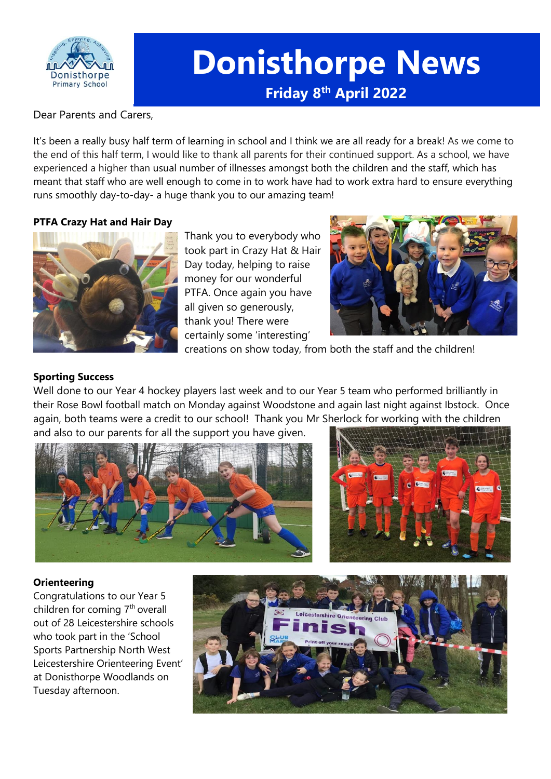

# **Donisthorpe News Friday 8 th April 2022**

Dear Parents and Carers,

It's been a really busy half term of learning in school and I think we are all ready for a break! As we come to the end of this half term, I would like to thank all parents for their continued support. As a school, we have experienced a higher than usual number of illnesses amongst both the children and the staff, which has meant that staff who are well enough to come in to work have had to work extra hard to ensure everything runs smoothly day-to-day- a huge thank you to our amazing team!

## **PTFA Crazy Hat and Hair Day**



Thank you to everybody who took part in Crazy Hat & Hair Day today, helping to raise money for our wonderful PTFA. Once again you have all given so generously, thank you! There were certainly some 'interesting'



creations on show today, from both the staff and the children!

## **Sporting Success**

Well done to our Year 4 hockey players last week and to our Year 5 team who performed brilliantly in their Rose Bowl football match on Monday against Woodstone and again last night against Ibstock. Once again, both teams were a credit to our school! Thank you Mr Sherlock for working with the children and also to our parents for all the support you have given.





## **Orienteering**

Congratulations to our Year 5 children for coming  $7<sup>th</sup>$  overall out of 28 Leicestershire schools who took part in the 'School Sports Partnership North West Leicestershire Orienteering Event' at Donisthorpe Woodlands on Tuesday afternoon.